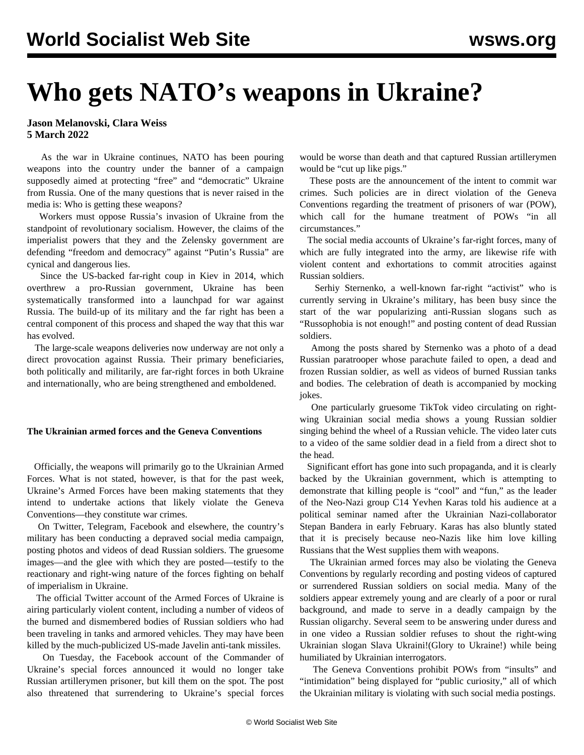# **Who gets NATO's weapons in Ukraine?**

**Jason Melanovski, Clara Weiss 5 March 2022**

 As the war in Ukraine continues, NATO has been pouring [weapons into the country](/en/articles/2022/03/03/lead-m03.html) under the banner of a campaign supposedly aimed at protecting "free" and "democratic" Ukraine from Russia. One of the many questions that is never raised in the media is: Who is getting these weapons?

 Workers must oppose Russia's invasion of Ukraine from the standpoint of revolutionary socialism. However, the claims of the imperialist powers that they and the Zelensky government are defending "freedom and democracy" against "Putin's Russia" are cynical and dangerous lies.

 Since the US-backed [far-right coup in Kiev in 2014](/en/topics/event/2014-coup-ukraine), which overthrew a pro-Russian government, Ukraine has been systematically transformed into a launchpad for war against Russia. The build-up of its military and the far right has been a central component of this process and shaped the way that this war has evolved.

 The large-scale weapons deliveries now underway are not only a direct provocation against Russia. Their primary beneficiaries, both politically and militarily, are far-right forces in both Ukraine and internationally, who are being strengthened and emboldened.

### **The Ukrainian armed forces and the Geneva Conventions**

 Officially, the weapons will primarily go to the Ukrainian Armed Forces. What is not stated, however, is that for the past week, Ukraine's Armed Forces have been making statements that they intend to undertake actions that likely violate the Geneva Conventions—they constitute war crimes.

 On Twitter, Telegram, Facebook and elsewhere, the country's military has been conducting a depraved social media campaign, posting photos and videos of dead Russian soldiers. The gruesome images—and the glee with which they are posted—testify to the reactionary and right-wing nature of the forces fighting on behalf of imperialism in Ukraine.

 The official [Twitter account of the Armed Forces of Ukraine](https://twitter.com/defenceu) is airing particularly violent content, including a number of videos of the burned and dismembered bodies of Russian soldiers who had been traveling in tanks and armored vehicles. They may have been killed by the much-publicized US-made Javelin anti-tank missiles.

 On Tuesday, the Facebook account of the Commander of Ukraine's special forces announced it would no longer take Russian artillerymen prisoner, but kill them on the spot. The post also threatened that surrendering to Ukraine's special forces

would be worse than death and that captured Russian artillerymen would be "cut up like pigs."

 These posts are the announcement of the intent to commit war crimes. Such policies are in direct violation of the Geneva Conventions regarding the treatment of prisoners of war (POW), which call for the humane treatment of POWs "in all circumstances."

 The social media accounts of Ukraine's far-right forces, many of which are fully integrated into the army, are likewise rife with violent content and exhortations to commit atrocities against Russian soldiers.

 Serhiy Sternenko, a well-known far-right "activist" who is currently serving in Ukraine's military, has been busy since the start of the war popularizing anti-Russian slogans such as "Russophobia is not enough!" and posting content of dead Russian soldiers.

 Among the posts shared by Sternenko was a photo of a dead Russian paratrooper whose parachute failed to open, a dead and frozen Russian soldier, as well as videos of burned Russian tanks and bodies. The celebration of death is accompanied by mocking jokes.

 One particularly gruesome TikTok video circulating on rightwing Ukrainian social media shows a young Russian soldier singing behind the wheel of a Russian vehicle. The video later cuts to a video of the same soldier dead in a field from a direct shot to the head.

 Significant effort has gone into such propaganda, and it is clearly backed by the Ukrainian government, which is attempting to demonstrate that killing people is "cool" and "fun," as the [leader](https://twitter.com/RealAlexRubi/status/1497747535783411714) [of the Neo-Nazi group C14 Yevhen Karas](https://twitter.com/RealAlexRubi/status/1497747535783411714) told his audience at a political seminar named after the Ukrainian Nazi-collaborator Stepan Bandera in early February. Karas has also bluntly stated that it is precisely because neo-Nazis like him love killing Russians that the West supplies them with weapons.

 The Ukrainian armed forces may also be violating the Geneva Conventions by regularly recording and posting videos of captured or surrendered Russian soldiers on social media. Many of the soldiers appear extremely young and are clearly of a poor or rural background, and made to serve in a deadly campaign by the Russian oligarchy. Several seem to be answering under duress and in one video a Russian soldier refuses to shout the right-wing Ukrainian slogan Slava Ukraini!(Glory to Ukraine!) while being humiliated by Ukrainian interrogators.

 The Geneva Conventions prohibit POWs from "insults" and "intimidation" being displayed for "public curiosity," all of which the Ukrainian military is violating with such social media postings.